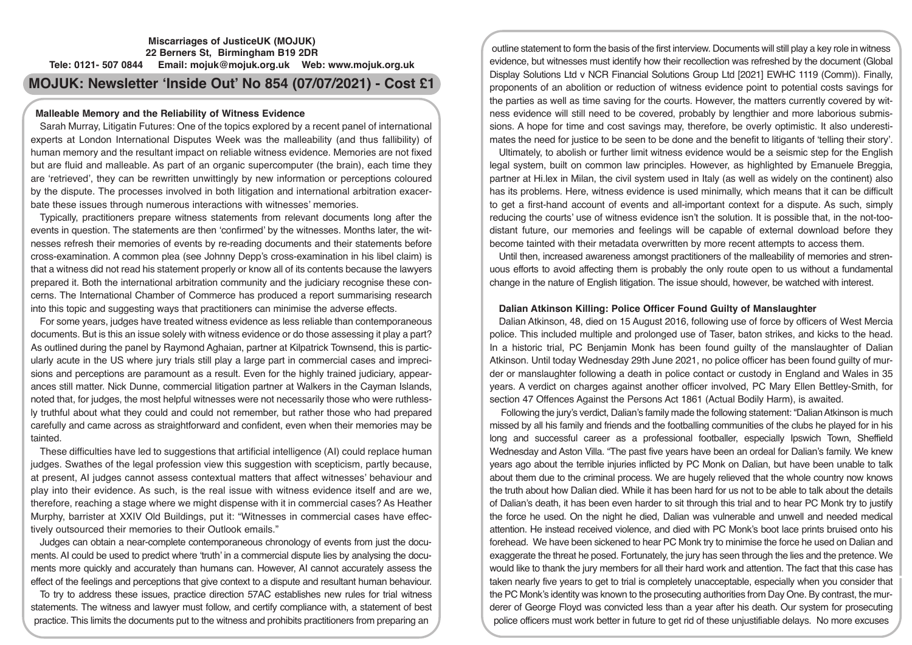# **Miscarriages of JusticeUK (MOJUK) 22 Berners St, Birmingham B19 2DR Tele: 0121- 507 0844 Email: mojuk@mojuk.org.uk Web: www.mojuk.org.uk**

# **MOJUK: Newsletter 'Inside Out' No 854 (07/07/2021) - Cost £1**

# **Malleable Memory and the Reliability of Witness Evidence**

Sarah Murray, Litigatin Futures: One of the topics explored by a recent panel of international experts at London International Disputes Week was the malleability (and thus fallibility) of human memory and the resultant impact on reliable witness evidence. Memories are not fixed but are fluid and malleable. As part of an organic supercomputer (the brain), each time they are 'retrieved', they can be rewritten unwittingly by new information or perceptions coloured by the dispute. The processes involved in both litigation and international arbitration exacerbate these issues through numerous interactions with witnesses' memories.

Typically, practitioners prepare witness statements from relevant documents long after the events in question. The statements are then 'confirmed' by the witnesses. Months later, the witnesses refresh their memories of events by re-reading documents and their statements before cross-examination. A common plea (see Johnny Depp's cross-examination in his libel claim) is that a witness did not read his statement properly or know all of its contents because the lawyers prepared it. Both the international arbitration community and the judiciary recognise these concerns. The International Chamber of Commerce has produced a report summarising research into this topic and suggesting ways that practitioners can minimise the adverse effects.

For some years, judges have treated witness evidence as less reliable than contemporaneous documents. But is this an issue solely with witness evidence or do those assessing it play a part? As outlined during the panel by Raymond Aghaian, partner at Kilpatrick Townsend, this is particularly acute in the US where jury trials still play a large part in commercial cases and imprecisions and perceptions are paramount as a result. Even for the highly trained judiciary, appearances still matter. Nick Dunne, commercial litigation partner at Walkers in the Cayman Islands, noted that, for judges, the most helpful witnesses were not necessarily those who were ruthlessly truthful about what they could and could not remember, but rather those who had prepared carefully and came across as straightforward and confident, even when their memories may be tainted.

These difficulties have led to suggestions that artificial intelligence (AI) could replace human judges. Swathes of the legal profession view this suggestion with scepticism, partly because, at present, AI judges cannot assess contextual matters that affect witnesses' behaviour and play into their evidence. As such, is the real issue with witness evidence itself and are we, therefore, reaching a stage where we might dispense with it in commercial cases? As Heather Murphy, barrister at XXIV Old Buildings, put it: "Witnesses in commercial cases have effectively outsourced their memories to their Outlook emails."

Judges can obtain a near-complete contemporaneous chronology of events from just the documents. AI could be used to predict where 'truth' in a commercial dispute lies by analysing the documents more quickly and accurately than humans can. However, AI cannot accurately assess the effect of the feelings and perceptions that give context to a dispute and resultant human behaviour.

To try to address these issues, practice direction 57AC establishes new rules for trial witness statements. The witness and lawyer must follow, and certify compliance with, a statement of best practice. This limits the documents put to the witness and prohibits practitioners from preparing an

outline statement to form the basis of the first interview. Documents will still play a key role in witness evidence, but witnesses must identify how their recollection was refreshed by the document (Global Display Solutions Ltd v NCR Financial Solutions Group Ltd [2021] EWHC 1119 (Comm)). Finally, proponents of an abolition or reduction of witness evidence point to potential costs savings for the parties as well as time saving for the courts. However, the matters currently covered by witness evidence will still need to be covered, probably by lengthier and more laborious submissions. A hope for time and cost savings may, therefore, be overly optimistic. It also underestimates the need for justice to be seen to be done and the benefit to litigants of 'telling their story'.

Ultimately, to abolish or further limit witness evidence would be a seismic step for the English legal system, built on common law principles. However, as highlighted by Emanuele Breggia, partner at Hi.lex in Milan, the civil system used in Italy (as well as widely on the continent) also has its problems. Here, witness evidence is used minimally, which means that it can be difficult to get a first-hand account of events and all-important context for a dispute. As such, simply reducing the courts' use of witness evidence isn't the solution. It is possible that, in the not-toodistant future, our memories and feelings will be capable of external download before they become tainted with their metadata overwritten by more recent attempts to access them.

Until then, increased awareness amongst practitioners of the malleability of memories and strenuous efforts to avoid affecting them is probably the only route open to us without a fundamental change in the nature of English litigation. The issue should, however, be watched with interest.

# **Dalian Atkinson Killing: Police Officer Found Guilty of Manslaughter**

Dalian Atkinson, 48, died on 15 August 2016, following use of force by officers of West Mercia police. This included multiple and prolonged use of Taser, baton strikes, and kicks to the head. In a historic trial, PC Benjamin Monk has been found guilty of the manslaughter of Dalian Atkinson. Until today Wednesday 29th June 2021, no police officer has been found guilty of murder or manslaughter following a death in police contact or custody in England and Wales in 35 years. A verdict on charges against another officer involved, PC Mary Ellen Bettley-Smith, for section 47 Offences Against the Persons Act 1861 (Actual Bodily Harm), is awaited.

 Following the jury's verdict, Dalian's family made the following statement: "Dalian Atkinson is much missed by all his family and friends and the footballing communities of the clubs he played for in his long and successful career as a professional footballer, especially Ipswich Town, Sheffield Wednesday and Aston Villa. "The past five years have been an ordeal for Dalian's family. We knew years ago about the terrible injuries inflicted by PC Monk on Dalian, but have been unable to talk about them due to the criminal process. We are hugely relieved that the whole country now knows the truth about how Dalian died. While it has been hard for us not to be able to talk about the details of Dalian's death, it has been even harder to sit through this trial and to hear PC Monk try to justify the force he used. On the night he died, Dalian was vulnerable and unwell and needed medical attention. He instead received violence, and died with PC Monk's boot lace prints bruised onto his forehead. We have been sickened to hear PC Monk try to minimise the force he used on Dalian and exaggerate the threat he posed. Fortunately, the jury has seen through the lies and the pretence. We would like to thank the jury members for all their hard work and attention. The fact that this case has taken nearly five years to get to trial is completely unacceptable, especially when you consider that the PC Monk's identity was known to the prosecuting authorities from Day One. By contrast, the murderer of George Floyd was convicted less than a year after his death. Our system for prosecuting police officers must work better in future to get rid of these unjustifiable delays. No more excuses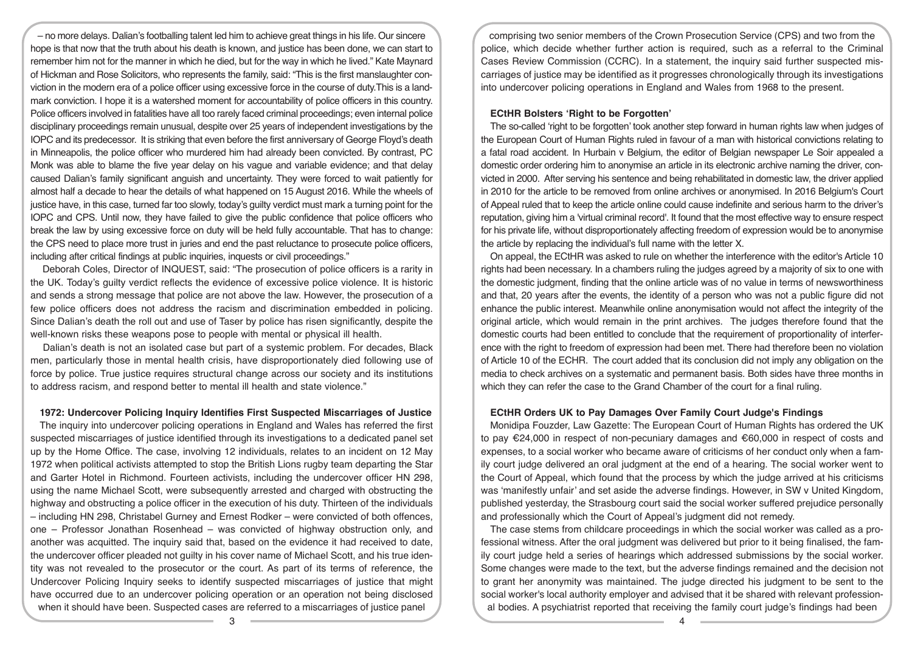– no more delays. Dalian's footballing talent led him to achieve great things in his life. Our sincere hope is that now that the truth about his death is known, and justice has been done, we can start to remember him not for the manner in which he died, but for the way in which he lived." Kate Maynard of Hickman and Rose Solicitors, who represents the family, said: "This is the first manslaughter conviction in the modern era of a police officer using excessive force in the course of duty.This is a landmark conviction. I hope it is a watershed moment for accountability of police officers in this country. Police officers involved in fatalities have all too rarely faced criminal proceedings; even internal police disciplinary proceedings remain unusual, despite over 25 years of independent investigations by the IOPC and its predecessor. It is striking that even before the first anniversary of George Floyd's death in Minneapolis, the police officer who murdered him had already been convicted. By contrast, PC Monk was able to blame the five year delay on his vague and variable evidence; and that delay caused Dalian's family significant anguish and uncertainty. They were forced to wait patiently for almost half a decade to hear the details of what happened on 15 August 2016. While the wheels of justice have, in this case, turned far too slowly, today's guilty verdict must mark a turning point for the IOPC and CPS. Until now, they have failed to give the public confidence that police officers who break the law by using excessive force on duty will be held fully accountable. That has to change: the CPS need to place more trust in juries and end the past reluctance to prosecute police officers, including after critical findings at public inquiries, inquests or civil proceedings."

 Deborah Coles, Director of INQUEST, said: "The prosecution of police officers is a rarity in the UK. Today's guilty verdict reflects the evidence of excessive police violence. It is historic and sends a strong message that police are not above the law. However, the prosecution of a few police officers does not address the racism and discrimination embedded in policing. Since Dalian's death the roll out and use of Taser by police has risen significantly, despite the well-known risks these weapons pose to people with mental or physical ill health.

 Dalian's death is not an isolated case but part of a systemic problem. For decades, Black men, particularly those in mental health crisis, have disproportionately died following use of force by police. True justice requires structural change across our society and its institutions to address racism, and respond better to mental ill health and state violence."

## **1972: Undercover Policing Inquiry Identifies First Suspected Miscarriages of Justice**

The inquiry into undercover policing operations in England and Wales has referred the first suspected miscarriages of justice identified through its investigations to a dedicated panel set up by the Home Office. The case, involving 12 individuals, relates to an incident on 12 May 1972 when political activists attempted to stop the British Lions rugby team departing the Star and Garter Hotel in Richmond. Fourteen activists, including the undercover officer HN 298, using the name Michael Scott, were subsequently arrested and charged with obstructing the highway and obstructing a police officer in the execution of his duty. Thirteen of the individuals – including HN 298, Christabel Gurney and Ernest Rodker – were convicted of both offences, one – Professor Jonathan Rosenhead – was convicted of highway obstruction only, and another was acquitted. The inquiry said that, based on the evidence it had received to date, the undercover officer pleaded not guilty in his cover name of Michael Scott, and his true identity was not revealed to the prosecutor or the court. As part of its terms of reference, the Undercover Policing Inquiry seeks to identify suspected miscarriages of justice that might have occurred due to an undercover policing operation or an operation not being disclosed when it should have been. Suspected cases are referred to a miscarriages of justice panel

comprising two senior members of the Crown Prosecution Service (CPS) and two from the police, which decide whether further action is required, such as a referral to the Criminal Cases Review Commission (CCRC). In a statement, the inquiry said further suspected miscarriages of justice may be identified as it progresses chronologically through its investigations into undercover policing operations in England and Wales from 1968 to the present.

## **ECtHR Bolsters 'Right to be Forgotten'**

The so-called 'right to be forgotten' took another step forward in human rights law when judges of the European Court of Human Rights ruled in favour of a man with historical convictions relating to a fatal road accident. In Hurbain v Belgium, the editor of Belgian newspaper Le Soir appealed a domestic order ordering him to anonymise an article in its electronic archive naming the driver, convicted in 2000. After serving his sentence and being rehabilitated in domestic law, the driver applied in 2010 for the article to be removed from online archives or anonymised. In 2016 Belgium's Court of Appeal ruled that to keep the article online could cause indefinite and serious harm to the driver's reputation, giving him a 'virtual criminal record'. It found that the most effective way to ensure respect for his private life, without disproportionately affecting freedom of expression would be to anonymise the article by replacing the individual's full name with the letter X.

On appeal, the ECtHR was asked to rule on whether the interference with the editor's Article 10 rights had been necessary. In a chambers ruling the judges agreed by a majority of six to one with the domestic judgment, finding that the online article was of no value in terms of newsworthiness and that, 20 years after the events, the identity of a person who was not a public figure did not enhance the public interest. Meanwhile online anonymisation would not affect the integrity of the original article, which would remain in the print archives. The judges therefore found that the domestic courts had been entitled to conclude that the requirement of proportionality of interference with the right to freedom of expression had been met. There had therefore been no violation of Article 10 of the ECHR. The court added that its conclusion did not imply any obligation on the media to check archives on a systematic and permanent basis. Both sides have three months in which they can refer the case to the Grand Chamber of the court for a final ruling.

# **ECtHR Orders UK to Pay Damages Over Family Court Judge's Findings**

Monidipa Fouzder, Law Gazette: The European Court of Human Rights has ordered the UK to pay €24,000 in respect of non-pecuniary damages and €60,000 in respect of costs and expenses, to a social worker who became aware of criticisms of her conduct only when a family court judge delivered an oral judgment at the end of a hearing. The social worker went to the Court of Appeal, which found that the process by which the judge arrived at his criticisms was 'manifestly unfair' and set aside the adverse findings. However, in SW v United Kingdom, published yesterday, the Strasbourg court said the social worker suffered prejudice personally and professionally which the Court of Appeal's judgment did not remedy.

The case stems from childcare proceedings in which the social worker was called as a professional witness. After the oral judgment was delivered but prior to it being finalised, the family court judge held a series of hearings which addressed submissions by the social worker. Some changes were made to the text, but the adverse findings remained and the decision not to grant her anonymity was maintained. The judge directed his judgment to be sent to the social worker's local authority employer and advised that it be shared with relevant professional bodies. A psychiatrist reported that receiving the family court judge's findings had been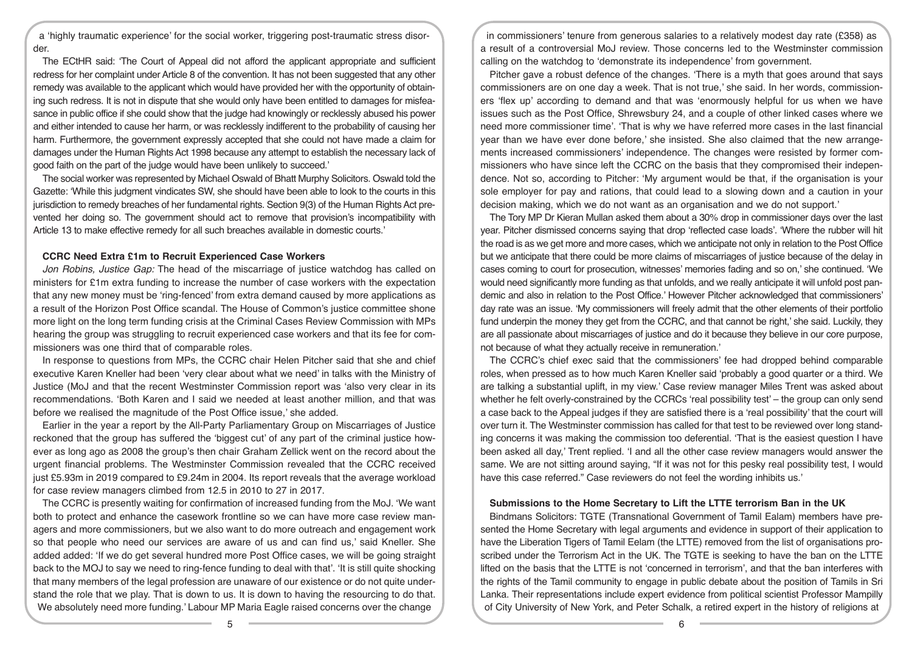a 'highly traumatic experience' for the social worker, triggering post-traumatic stress disorder.

The ECtHR said: 'The Court of Appeal did not afford the applicant appropriate and sufficient redress for her complaint under Article 8 of the convention. It has not been suggested that any other remedy was available to the applicant which would have provided her with the opportunity of obtaining such redress. It is not in dispute that she would only have been entitled to damages for misfeasance in public office if she could show that the judge had knowingly or recklessly abused his power and either intended to cause her harm, or was recklessly indifferent to the probability of causing her harm. Furthermore, the government expressly accepted that she could not have made a claim for damages under the Human Rights Act 1998 because any attempt to establish the necessary lack of good faith on the part of the judge would have been unlikely to succeed.'

The social worker was represented by Michael Oswald of Bhatt Murphy Solicitors. Oswald told the Gazette: 'While this judgment vindicates SW, she should have been able to look to the courts in this jurisdiction to remedy breaches of her fundamental rights. Section 9(3) of the Human Rights Act prevented her doing so. The government should act to remove that provision's incompatibility with Article 13 to make effective remedy for all such breaches available in domestic courts.'

#### **CCRC Need Extra £1m to Recruit Experienced Case Workers**

*Jon Robins, Justice Gap:* The head of the miscarriage of justice watchdog has called on ministers for £1m extra funding to increase the number of case workers with the expectation that any new money must be 'ring-fenced' from extra demand caused by more applications as a result of the Horizon Post Office scandal. The House of Common's justice committee shone more light on the long term funding crisis at the Criminal Cases Review Commission with MPs hearing the group was struggling to recruit experienced case workers and that its fee for commissioners was one third that of comparable roles.

In response to questions from MPs, the CCRC chair Helen Pitcher said that she and chief executive Karen Kneller had been 'very clear about what we need' in talks with the Ministry of Justice (MoJ and that the recent Westminster Commission report was 'also very clear in its recommendations. 'Both Karen and I said we needed at least another million, and that was before we realised the magnitude of the Post Office issue,' she added.

Earlier in the year a report by the All-Party Parliamentary Group on Miscarriages of Justice reckoned that the group has suffered the 'biggest cut' of any part of the criminal justice however as long ago as 2008 the group's then chair Graham Zellick went on the record about the urgent financial problems. The Westminster Commission revealed that the CCRC received just £5.93m in 2019 compared to £9.24m in 2004. Its report reveals that the average workload for case review managers climbed from 12.5 in 2010 to 27 in 2017.

The CCRC is presently waiting for confirmation of increased funding from the MoJ. 'We want both to protect and enhance the casework frontline so we can have more case review managers and more commissioners, but we also want to do more outreach and engagement work so that people who need our services are aware of us and can find us,' said Kneller. She added added: 'If we do get several hundred more Post Office cases, we will be going straight back to the MOJ to say we need to ring-fence funding to deal with that'. 'It is still quite shocking that many members of the legal profession are unaware of our existence or do not quite understand the role that we play. That is down to us. It is down to having the resourcing to do that. We absolutely need more funding.' Labour MP Maria Eagle raised concerns over the change

in commissioners' tenure from generous salaries to a relatively modest day rate (£358) as a result of a controversial MoJ review. Those concerns led to the Westminster commission calling on the watchdog to 'demonstrate its independence' from government.

Pitcher gave a robust defence of the changes. 'There is a myth that goes around that says commissioners are on one day a week. That is not true,' she said. In her words, commissioners 'flex up' according to demand and that was 'enormously helpful for us when we have issues such as the Post Office, Shrewsbury 24, and a couple of other linked cases where we need more commissioner time'. 'That is why we have referred more cases in the last financial year than we have ever done before,' she insisted. She also claimed that the new arrangements increased commissioners' independence. The changes were resisted by former commissioners who have since left the CCRC on the basis that they compromised their independence. Not so, according to Pitcher: 'My argument would be that, if the organisation is your sole employer for pay and rations, that could lead to a slowing down and a caution in your decision making, which we do not want as an organisation and we do not support.'

The Tory MP Dr Kieran Mullan asked them about a 30% drop in commissioner days over the last year. Pitcher dismissed concerns saying that drop 'reflected case loads'. 'Where the rubber will hit the road is as we get more and more cases, which we anticipate not only in relation to the Post Office but we anticipate that there could be more claims of miscarriages of justice because of the delay in cases coming to court for prosecution, witnesses' memories fading and so on,' she continued. 'We would need significantly more funding as that unfolds, and we really anticipate it will unfold post pandemic and also in relation to the Post Office.' However Pitcher acknowledged that commissioners' day rate was an issue. 'My commissioners will freely admit that the other elements of their portfolio fund underpin the money they get from the CCRC, and that cannot be right,' she said. Luckily, they are all passionate about miscarriages of justice and do it because they believe in our core purpose, not because of what they actually receive in remuneration.'

The CCRC's chief exec said that the commissioners' fee had dropped behind comparable roles, when pressed as to how much Karen Kneller said 'probably a good quarter or a third. We are talking a substantial uplift, in my view.' Case review manager Miles Trent was asked about whether he felt overly-constrained by the CCRCs 'real possibility test' – the group can only send a case back to the Appeal judges if they are satisfied there is a 'real possibility' that the court will over turn it. The Westminster commission has called for that test to be reviewed over long standing concerns it was making the commission too deferential. 'That is the easiest question I have been asked all day,' Trent replied. 'I and all the other case review managers would answer the same. We are not sitting around saying, "If it was not for this pesky real possibility test, I would have this case referred." Case reviewers do not feel the wording inhibits us.'

# **Submissions to the Home Secretary to Lift the LTTE terrorism Ban in the UK**

Bindmans Solicitors: TGTE (Transnational Government of Tamil Ealam) members have presented the Home Secretary with legal arguments and evidence in support of their application to have the Liberation Tigers of Tamil Eelam (the LTTE) removed from the list of organisations proscribed under the Terrorism Act in the UK. The TGTE is seeking to have the ban on the LTTE lifted on the basis that the LTTE is not 'concerned in terrorism', and that the ban interferes with the rights of the Tamil community to engage in public debate about the position of Tamils in Sri Lanka. Their representations include expert evidence from political scientist Professor Mampilly of City University of New York, and Peter Schalk, a retired expert in the history of religions at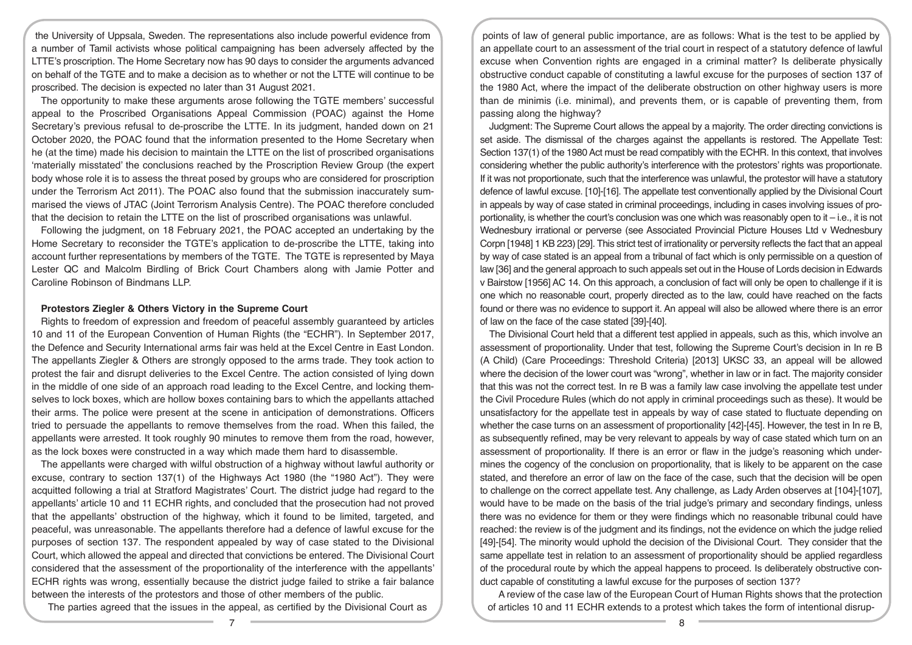the University of Uppsala, Sweden. The representations also include powerful evidence from a number of Tamil activists whose political campaigning has been adversely affected by the LTTE's proscription. The Home Secretary now has 90 days to consider the arguments advanced on behalf of the TGTE and to make a decision as to whether or not the LTTE will continue to be proscribed. The decision is expected no later than 31 August 2021.

The opportunity to make these arguments arose following the TGTE members' successful appeal to the Proscribed Organisations Appeal Commission (POAC) against the Home Secretary's previous refusal to de-proscribe the LTTE. In its judgment, handed down on 21 October 2020, the POAC found that the information presented to the Home Secretary when he (at the time) made his decision to maintain the LTTE on the list of proscribed organisations 'materially misstated' the conclusions reached by the Proscription Review Group (the expert body whose role it is to assess the threat posed by groups who are considered for proscription under the Terrorism Act 2011). The POAC also found that the submission inaccurately summarised the views of JTAC (Joint Terrorism Analysis Centre). The POAC therefore concluded that the decision to retain the LTTE on the list of proscribed organisations was unlawful.

Following the judgment, on 18 February 2021, the POAC accepted an undertaking by the Home Secretary to reconsider the TGTE's application to de-proscribe the LTTE, taking into account further representations by members of the TGTE. The TGTE is represented by Maya Lester QC and Malcolm Birdling of Brick Court Chambers along with Jamie Potter and Caroline Robinson of Bindmans LLP.

## **Protestors Ziegler & Others Victory in the Supreme Court**

Rights to freedom of expression and freedom of peaceful assembly guaranteed by articles 10 and 11 of the European Convention of Human Rights (the "ECHR"). In September 2017, the Defence and Security International arms fair was held at the Excel Centre in East London. The appellants Ziegler & Others are strongly opposed to the arms trade. They took action to protest the fair and disrupt deliveries to the Excel Centre. The action consisted of lying down in the middle of one side of an approach road leading to the Excel Centre, and locking themselves to lock boxes, which are hollow boxes containing bars to which the appellants attached their arms. The police were present at the scene in anticipation of demonstrations. Officers tried to persuade the appellants to remove themselves from the road. When this failed, the appellants were arrested. It took roughly 90 minutes to remove them from the road, however, as the lock boxes were constructed in a way which made them hard to disassemble.

The appellants were charged with wilful obstruction of a highway without lawful authority or excuse, contrary to section 137(1) of the Highways Act 1980 (the "1980 Act"). They were acquitted following a trial at Stratford Magistrates' Court. The district judge had regard to the appellants' article 10 and 11 ECHR rights, and concluded that the prosecution had not proved that the appellants' obstruction of the highway, which it found to be limited, targeted, and peaceful, was unreasonable. The appellants therefore had a defence of lawful excuse for the purposes of section 137. The respondent appealed by way of case stated to the Divisional Court, which allowed the appeal and directed that convictions be entered. The Divisional Court considered that the assessment of the proportionality of the interference with the appellants' ECHR rights was wrong, essentially because the district judge failed to strike a fair balance between the interests of the protestors and those of other members of the public.

The parties agreed that the issues in the appeal, as certified by the Divisional Court as

points of law of general public importance, are as follows: What is the test to be applied by an appellate court to an assessment of the trial court in respect of a statutory defence of lawful excuse when Convention rights are engaged in a criminal matter? Is deliberate physically obstructive conduct capable of constituting a lawful excuse for the purposes of section 137 of the 1980 Act, where the impact of the deliberate obstruction on other highway users is more than de minimis (i.e. minimal), and prevents them, or is capable of preventing them, from passing along the highway?

Judgment: The Supreme Court allows the appeal by a majority. The order directing convictions is set aside. The dismissal of the charges against the appellants is restored. The Appellate Test: Section 137(1) of the 1980 Act must be read compatibly with the ECHR. In this context, that involves considering whether the public authority's interference with the protestors' rights was proportionate. If it was not proportionate, such that the interference was unlawful, the protestor will have a statutory defence of lawful excuse. [10]-[16]. The appellate test conventionally applied by the Divisional Court in appeals by way of case stated in criminal proceedings, including in cases involving issues of proportionality, is whether the court's conclusion was one which was reasonably open to it – i.e., it is not Wednesbury irrational or perverse (see Associated Provincial Picture Houses Ltd v Wednesbury Corpn [1948] 1 KB 223) [29]. This strict test of irrationality or perversity reflects the fact that an appeal by way of case stated is an appeal from a tribunal of fact which is only permissible on a question of law [36] and the general approach to such appeals set out in the House of Lords decision in Edwards v Bairstow [1956] AC 14. On this approach, a conclusion of fact will only be open to challenge if it is one which no reasonable court, properly directed as to the law, could have reached on the facts found or there was no evidence to support it. An appeal will also be allowed where there is an error of law on the face of the case stated [39]-[40].

The Divisional Court held that a different test applied in appeals, such as this, which involve an assessment of proportionality. Under that test, following the Supreme Court's decision in In re B (A Child) (Care Proceedings: Threshold Criteria) [2013] UKSC 33, an appeal will be allowed where the decision of the lower court was "wrong", whether in law or in fact. The majority consider that this was not the correct test. In re B was a family law case involving the appellate test under the Civil Procedure Rules (which do not apply in criminal proceedings such as these). It would be unsatisfactory for the appellate test in appeals by way of case stated to fluctuate depending on whether the case turns on an assessment of proportionality [42]-[45]. However, the test in In re B, as subsequently refined, may be very relevant to appeals by way of case stated which turn on an assessment of proportionality. If there is an error or flaw in the judge's reasoning which undermines the cogency of the conclusion on proportionality, that is likely to be apparent on the case stated, and therefore an error of law on the face of the case, such that the decision will be open to challenge on the correct appellate test. Any challenge, as Lady Arden observes at [104]-[107], would have to be made on the basis of the trial judge's primary and secondary findings, unless there was no evidence for them or they were findings which no reasonable tribunal could have reached: the review is of the judgment and its findings, not the evidence on which the judge relied [49]-[54]. The minority would uphold the decision of the Divisional Court. They consider that the same appellate test in relation to an assessment of proportionality should be applied regardless of the procedural route by which the appeal happens to proceed. Is deliberately obstructive conduct capable of constituting a lawful excuse for the purposes of section 137?

A review of the case law of the European Court of Human Rights shows that the protection of articles 10 and 11 ECHR extends to a protest which takes the form of intentional disrup-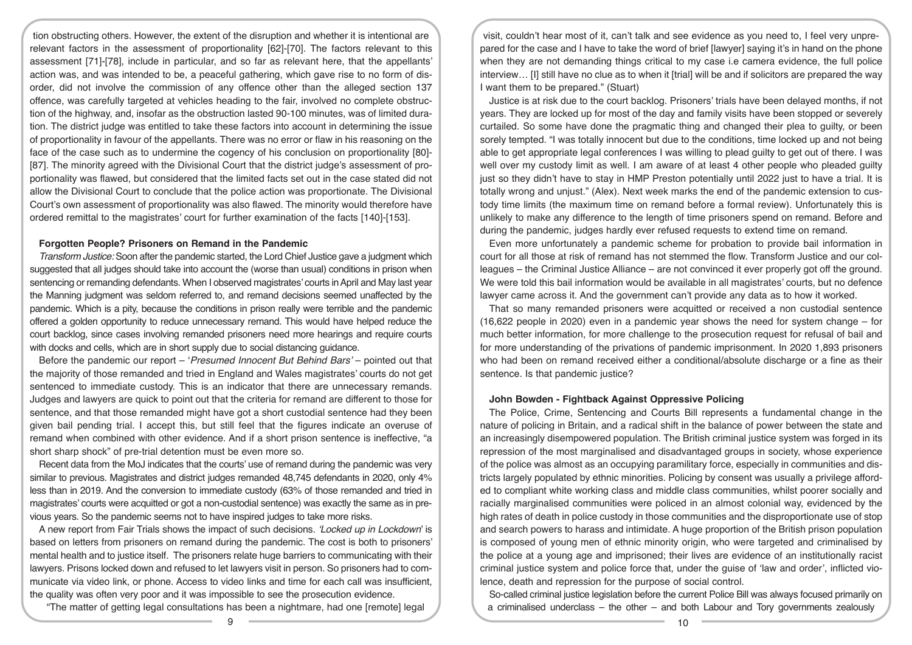tion obstructing others. However, the extent of the disruption and whether it is intentional are relevant factors in the assessment of proportionality [62]-[70]. The factors relevant to this assessment [71]-[78], include in particular, and so far as relevant here, that the appellants' action was, and was intended to be, a peaceful gathering, which gave rise to no form of disorder, did not involve the commission of any offence other than the alleged section 137 offence, was carefully targeted at vehicles heading to the fair, involved no complete obstruction of the highway, and, insofar as the obstruction lasted 90-100 minutes, was of limited duration. The district judge was entitled to take these factors into account in determining the issue of proportionality in favour of the appellants. There was no error or flaw in his reasoning on the face of the case such as to undermine the cogency of his conclusion on proportionality [80]- [87]. The minority agreed with the Divisional Court that the district judge's assessment of proportionality was flawed, but considered that the limited facts set out in the case stated did not allow the Divisional Court to conclude that the police action was proportionate. The Divisional Court's own assessment of proportionality was also flawed. The minority would therefore have ordered remittal to the magistrates' court for further examination of the facts [140]-[153].

#### **Forgotten People? Prisoners on Remand in the Pandemic**

*Transform Justice:* Soon after the pandemic started, the Lord Chief Justice gave a judgment which suggested that all judges should take into account the (worse than usual) conditions in prison when sentencing or remanding defendants. When I observed magistrates' courts in April and May last year the Manning judgment was seldom referred to, and remand decisions seemed unaffected by the pandemic. Which is a pity, because the conditions in prison really were terrible and the pandemic offered a golden opportunity to reduce unnecessary remand. This would have helped reduce the court backlog, since cases involving remanded prisoners need more hearings and require courts with docks and cells, which are in short supply due to social distancing guidance.

Before the pandemic our report – '*Presumed Innocent But Behind Bars'* – pointed out that the majority of those remanded and tried in England and Wales magistrates' courts do not get sentenced to immediate custody. This is an indicator that there are unnecessary remands. Judges and lawyers are quick to point out that the criteria for remand are different to those for sentence, and that those remanded might have got a short custodial sentence had they been given bail pending trial. I accept this, but still feel that the figures indicate an overuse of remand when combined with other evidence. And if a short prison sentence is ineffective, "a short sharp shock" of pre-trial detention must be even more so.

Recent data from the MoJ indicates that the courts' use of remand during the pandemic was very similar to previous. Magistrates and district judges remanded 48,745 defendants in 2020, only 4% less than in 2019. And the conversion to immediate custody (63% of those remanded and tried in magistrates' courts were acquitted or got a non-custodial sentence) was exactly the same as in previous years. So the pandemic seems not to have inspired judges to take more risks.

A new report from Fair Trials shows the impact of such decisions. *'Locked up in Lockdown*' is based on letters from prisoners on remand during the pandemic. The cost is both to prisoners' mental health and to justice itself. The prisoners relate huge barriers to communicating with their lawyers. Prisons locked down and refused to let lawyers visit in person. So prisoners had to communicate via video link, or phone. Access to video links and time for each call was insufficient, the quality was often very poor and it was impossible to see the prosecution evidence.

"The matter of getting legal consultations has been a nightmare, had one [remote] legal

visit, couldn't hear most of it, can't talk and see evidence as you need to, I feel very unprepared for the case and I have to take the word of brief [lawyer] saying it's in hand on the phone when they are not demanding things critical to my case i.e camera evidence, the full police interview… [I] still have no clue as to when it [trial] will be and if solicitors are prepared the way I want them to be prepared." (Stuart)

Justice is at risk due to the court backlog. Prisoners' trials have been delayed months, if not years. They are locked up for most of the day and family visits have been stopped or severely curtailed. So some have done the pragmatic thing and changed their plea to guilty, or been sorely tempted. "I was totally innocent but due to the conditions, time locked up and not being able to get appropriate legal conferences I was willing to plead guilty to get out of there. I was well over my custody limit as well. I am aware of at least 4 other people who pleaded guilty just so they didn't have to stay in HMP Preston potentially until 2022 just to have a trial. It is totally wrong and unjust." (Alex). Next week marks the end of the pandemic extension to custody time limits (the maximum time on remand before a formal review). Unfortunately this is unlikely to make any difference to the length of time prisoners spend on remand. Before and during the pandemic, judges hardly ever refused requests to extend time on remand.

Even more unfortunately a pandemic scheme for probation to provide bail information in court for all those at risk of remand has not stemmed the flow. Transform Justice and our colleagues – the Criminal Justice Alliance – are not convinced it ever properly got off the ground. We were told this bail information would be available in all magistrates' courts, but no defence lawyer came across it. And the government can't provide any data as to how it worked.

That so many remanded prisoners were acquitted or received a non custodial sentence (16,622 people in 2020) even in a pandemic year shows the need for system change – for much better information, for more challenge to the prosecution request for refusal of bail and for more understanding of the privations of pandemic imprisonment. In 2020 1,893 prisoners who had been on remand received either a conditional/absolute discharge or a fine as their sentence. Is that pandemic justice?

### **John Bowden - Fightback Against Oppressive Policing**

The Police, Crime, Sentencing and Courts Bill represents a fundamental change in the nature of policing in Britain, and a radical shift in the balance of power between the state and an increasingly disempowered population. The British criminal justice system was forged in its repression of the most marginalised and disadvantaged groups in society, whose experience of the police was almost as an occupying paramilitary force, especially in communities and districts largely populated by ethnic minorities. Policing by consent was usually a privilege afforded to compliant white working class and middle class communities, whilst poorer socially and racially marginalised communities were policed in an almost colonial way, evidenced by the high rates of death in police custody in those communities and the disproportionate use of stop and search powers to harass and intimidate. A huge proportion of the British prison population is composed of young men of ethnic minority origin, who were targeted and criminalised by the police at a young age and imprisoned; their lives are evidence of an institutionally racist criminal justice system and police force that, under the guise of 'law and order', inflicted violence, death and repression for the purpose of social control.

So-called criminal justice legislation before the current Police Bill was always focused primarily on a criminalised underclass – the other – and both Labour and Tory governments zealously